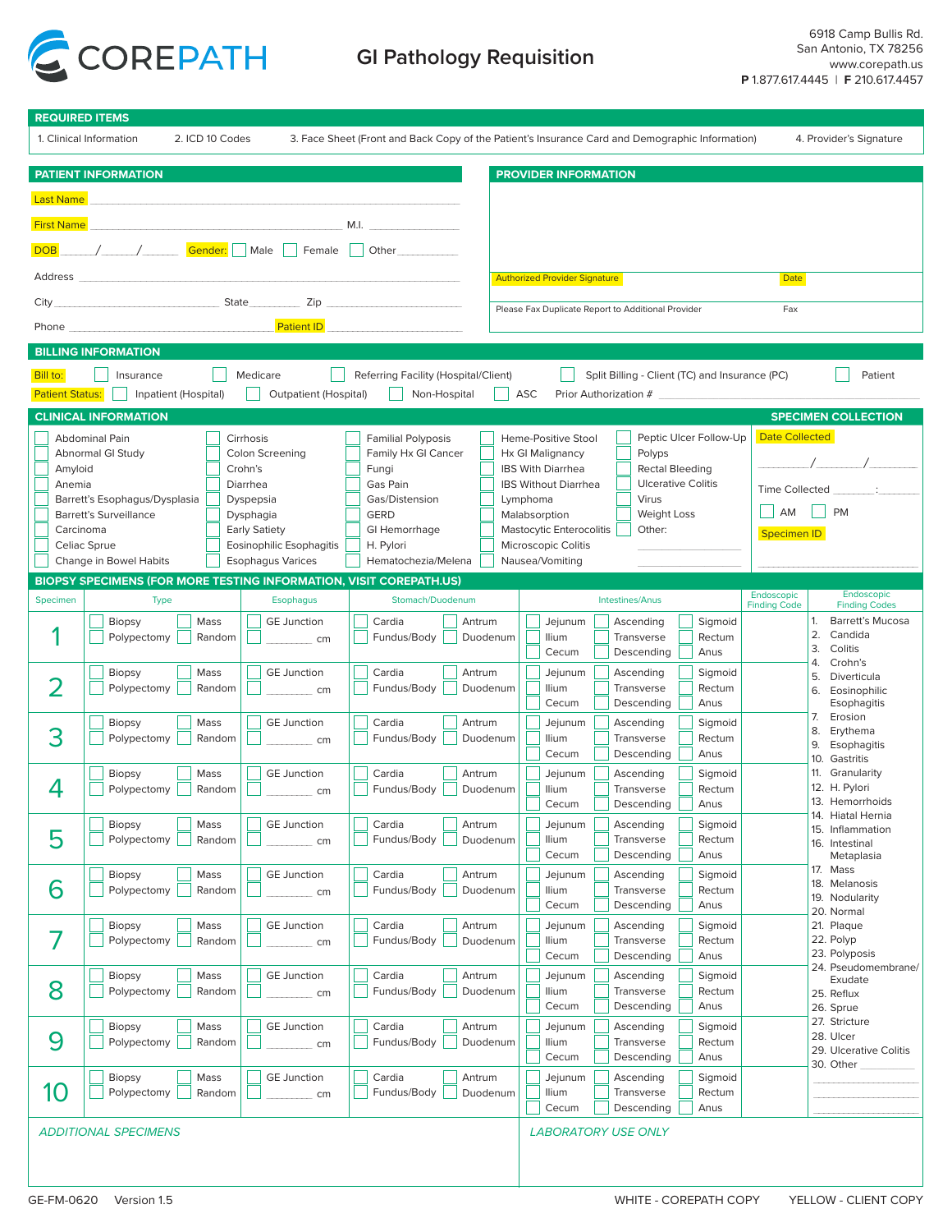

# **GI Pathology Requisition**

|                                                                                                                                                                          |                                                                    | <b>REQUIRED ITEMS</b>                            |                                                  |                                                                               |                                             |
|--------------------------------------------------------------------------------------------------------------------------------------------------------------------------|--------------------------------------------------------------------|--------------------------------------------------|--------------------------------------------------|-------------------------------------------------------------------------------|---------------------------------------------|
| 1. Clinical Information<br>2. ICD 10 Codes<br>3. Face Sheet (Front and Back Copy of the Patient's Insurance Card and Demographic Information)<br>4. Provider's Signature |                                                                    |                                                  |                                                  |                                                                               |                                             |
|                                                                                                                                                                          | <b>PATIENT INFORMATION</b>                                         |                                                  |                                                  | <b>PROVIDER INFORMATION</b>                                                   |                                             |
| <b>Last Name</b>                                                                                                                                                         |                                                                    |                                                  |                                                  |                                                                               |                                             |
| <b>First Name</b>                                                                                                                                                        |                                                                    |                                                  | M.I.                                             |                                                                               |                                             |
| <b>DOB</b>                                                                                                                                                               | <i>/ _____/</i> Gender: Male Female B                              |                                                  | Other                                            |                                                                               |                                             |
|                                                                                                                                                                          |                                                                    |                                                  |                                                  | <b>Authorized Provider Signature</b>                                          | Date                                        |
|                                                                                                                                                                          |                                                                    |                                                  |                                                  | Please Fax Duplicate Report to Additional Provider                            | Fax                                         |
|                                                                                                                                                                          | Phone <b>Phone</b>                                                 |                                                  | <b>Patient ID Example 20</b>                     |                                                                               |                                             |
|                                                                                                                                                                          | <b>BILLING INFORMATION</b>                                         |                                                  |                                                  |                                                                               |                                             |
| Bill to:                                                                                                                                                                 | Insurance                                                          | Medicare                                         | Referring Facility (Hospital/Client)             | Split Billing - Client (TC) and Insurance (PC)                                | Patient                                     |
| <b>Patient Status:</b>                                                                                                                                                   | Inpatient (Hospital)                                               | Outpatient (Hospital)                            | Non-Hospital                                     | ASC<br>Prior Authorization #                                                  |                                             |
|                                                                                                                                                                          | <b>CLINICAL INFORMATION</b>                                        |                                                  |                                                  |                                                                               | <b>SPECIMEN COLLECTION</b>                  |
|                                                                                                                                                                          | Abdominal Pain<br>Abnormal GI Study                                | Cirrhosis<br><b>Colon Screening</b>              | <b>Familial Polyposis</b><br>Family Hx GI Cancer | Peptic Ulcer Follow-Up<br>Heme-Positive Stool<br>Hx GI Malignancy<br>Polyps   | <b>Date Collected</b>                       |
| Amyloid                                                                                                                                                                  |                                                                    | Crohn's                                          | Fungi                                            | <b>IBS With Diarrhea</b><br>Rectal Bleeding                                   |                                             |
| Anemia                                                                                                                                                                   | Barrett's Esophagus/Dysplasia                                      | Diarrhea<br>Dyspepsia                            | Gas Pain<br>Gas/Distension                       | <b>Ulcerative Colitis</b><br><b>IBS Without Diarrhea</b><br>Virus<br>Lymphoma | Time Collected _ _ _____ :                  |
|                                                                                                                                                                          | Barrett's Surveillance                                             | Dysphagia                                        | <b>GERD</b>                                      | Weight Loss<br>Malabsorption                                                  | AM<br><b>PM</b>                             |
| Carcinoma                                                                                                                                                                | Celiac Sprue                                                       | <b>Early Satiety</b><br>Eosinophilic Esophagitis | GI Hemorrhage<br>H. Pylori                       | Mastocytic Enterocolitis<br>Other:<br>Microscopic Colitis                     | <b>Specimen ID</b>                          |
|                                                                                                                                                                          | Change in Bowel Habits                                             | <b>Esophagus Varices</b>                         | Hematochezia/Melena                              | Nausea/Vomiting                                                               |                                             |
|                                                                                                                                                                          | BIOPSY SPECIMENS (FOR MORE TESTING INFORMATION, VISIT COREPATH.US) |                                                  |                                                  |                                                                               | Endoscopic<br>Endoscopic                    |
| Specimen                                                                                                                                                                 | <b>Type</b>                                                        | <b>Esophagus</b>                                 | Stomach/Duodenum                                 | Intestines/Anus                                                               | <b>Finding Codes</b><br><b>Finding Code</b> |
|                                                                                                                                                                          | Mass<br><b>Biopsy</b><br>Polypectomy<br>Random                     | <b>GE Junction</b><br>cm                         | Cardia<br>Antrum<br>Fundus/Body<br>Duodenum      | Jejunum<br>Sigmoid<br>Ascending<br><b>Ilium</b><br>Transverse<br>Rectum       | 1.<br>Barrett's Mucosa<br>2.<br>Candida     |
|                                                                                                                                                                          |                                                                    |                                                  |                                                  | Anus<br>Cecum<br>Descending                                                   | 3.<br>Colitis<br>4.<br>Crohn's              |
|                                                                                                                                                                          | Mass<br><b>Biopsy</b><br>Polypectomy<br>Random                     | <b>GE Junction</b><br>cm                         | Cardia<br>Antrum<br>Fundus/Body<br>Duodenum      | Jejunum<br>Ascending<br>Sigmoid<br>llium<br>Rectum<br>Transverse              | 5.<br>Diverticula                           |
|                                                                                                                                                                          |                                                                    |                                                  |                                                  | Cecum<br>Descending<br>Anus                                                   | 6.<br>Eosinophilic<br>Esophagitis           |
| 3                                                                                                                                                                        | <b>Biopsy</b><br>Mass<br>Polypectomy                               | <b>GE Junction</b>                               | Cardia<br>Antrum                                 | Jejunum<br>Ascending<br>Sigmoid<br><b>Ilium</b><br>Transverse<br>Rectum       | 7.<br>Erosion<br>8.<br>Erythema             |
|                                                                                                                                                                          | Random                                                             | cm                                               | Fundus/Body<br>Duodenum                          | Cecum<br>Descending<br>Anus                                                   | 9.<br>Esophagitis<br>10. Gastritis          |
|                                                                                                                                                                          | <b>Biopsy</b><br>Mass                                              | <b>GE Junction</b>                               | Cardia<br>Antrum                                 | Jejunum<br>Ascending<br>Sigmoid                                               | 11. Granularity                             |
| 4                                                                                                                                                                        | Polypectomy<br>Random                                              | cm                                               | Fundus/Body<br>Duodenum                          | Rectum<br>Ilium<br>Transverse<br>Cecum<br>Descending  <br>Anus<br>└─          | 12. H. Pylori<br>13. Hemorrhoids            |
|                                                                                                                                                                          | Mass<br><b>Biopsy</b>                                              | <b>GE Junction</b>                               | Cardia<br>Antrum                                 | Jejunum<br>Ascending<br>Sigmoid                                               | 14. Hiatal Hernia<br>15. Inflammation       |
| 5                                                                                                                                                                        | Polypectomy<br>Random                                              | cm                                               | Fundus/Body<br>Duodenum                          | <b>Ilium</b><br>Transverse<br>Rectum<br>Cecum<br>Descending<br>Anus           | 16. Intestinal                              |
|                                                                                                                                                                          | Biopsy<br>Mass                                                     | <b>GE Junction</b>                               | Cardia<br>Antrum                                 | Sigmoid<br>Jejunum<br>Ascending                                               | Metaplasia<br>17. Mass                      |
| 6                                                                                                                                                                        | Polypectomy<br>Random                                              | cm                                               | Fundus/Body<br>Duodenum                          | llium<br>Transverse<br>Rectum                                                 | 18. Melanosis<br>19. Nodularity             |
|                                                                                                                                                                          | Biopsy<br>Mass                                                     | <b>GE Junction</b>                               | Cardia<br>Antrum                                 | Cecum<br>Anus<br>Descending<br>Jejunum<br>Sigmoid<br>Ascending                | 20. Normal<br>21. Plaque                    |
| 7                                                                                                                                                                        | Polypectomy<br>Random                                              | cm                                               | Fundus/Body<br>Duodenum                          | llium<br>Transverse<br>Rectum                                                 | 22. Polyp                                   |
|                                                                                                                                                                          |                                                                    |                                                  |                                                  | Anus<br>Cecum<br>Descending                                                   | 23. Polyposis<br>24. Pseudomembrane/        |
| 8                                                                                                                                                                        | Mass<br>Biopsy<br>Polypectomy<br>Random                            | <b>GE Junction</b><br>cm                         | Cardia<br>Antrum<br>Fundus/Body<br>Duodenum      | Jejunum<br>Sigmoid<br>Ascending<br><b>Ilium</b><br>Rectum<br>Transverse       | Exudate<br>25. Reflux                       |
|                                                                                                                                                                          |                                                                    |                                                  |                                                  | Cecum<br>Anus<br>Descending                                                   | 26. Sprue                                   |
| 9                                                                                                                                                                        | Biopsy<br>Mass<br>Polypectomy<br>Random                            | <b>GE Junction</b>                               | Cardia<br>Antrum<br>Fundus/Body<br>Duodenum      | Jejunum<br>Sigmoid<br>Ascending<br><b>Ilium</b><br>Transverse<br>Rectum       | 27. Stricture<br>28. Ulcer                  |
|                                                                                                                                                                          |                                                                    | cm                                               |                                                  | Cecum<br>Anus<br>Descending                                                   | 29. Ulcerative Colitis<br>30. Other         |
|                                                                                                                                                                          | <b>Biopsy</b><br>Mass                                              | <b>GE Junction</b>                               | Cardia<br>Antrum                                 | Jejunum<br>Sigmoid<br>Ascending                                               |                                             |
| 10                                                                                                                                                                       | Polypectomy<br>Random                                              | cm                                               | Fundus/Body<br>Duodenum                          | llium<br>Transverse<br>Rectum<br>Cecum<br>Descending<br>Anus                  |                                             |
|                                                                                                                                                                          | <b>ADDITIONAL SPECIMENS</b>                                        |                                                  |                                                  | <b>LABORATORY USE ONLY</b>                                                    |                                             |
|                                                                                                                                                                          |                                                                    |                                                  |                                                  |                                                                               |                                             |
|                                                                                                                                                                          |                                                                    |                                                  |                                                  |                                                                               |                                             |